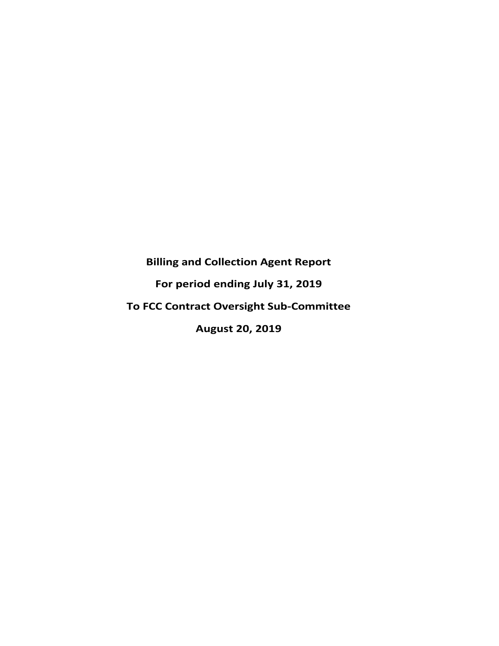# **Billing and Collection Agent Report For period ending July 31, 2019 To FCC Contract Oversight Sub‐Committee August 20, 2019**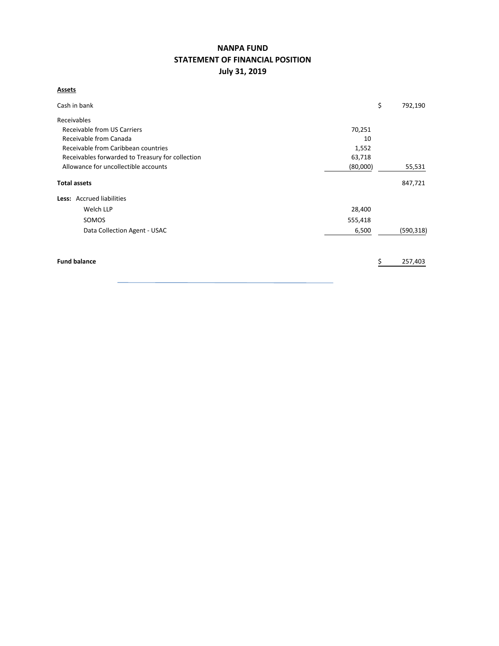# **NANPA FUND STATEMENT OF FINANCIAL POSITION July 31, 2019**

## **Assets**

| Cash in bank                                     |          | \$<br>792,190 |
|--------------------------------------------------|----------|---------------|
| Receivables                                      |          |               |
| Receivable from US Carriers                      | 70,251   |               |
| Receivable from Canada                           | 10       |               |
| Receivable from Caribbean countries              | 1,552    |               |
| Receivables forwarded to Treasury for collection | 63,718   |               |
| Allowance for uncollectible accounts             | (80,000) | 55,531        |
| <b>Total assets</b>                              |          | 847,721       |
| <b>Less:</b> Accrued liabilities                 |          |               |
| Welch LLP                                        | 28,400   |               |
| SOMOS                                            | 555,418  |               |
| Data Collection Agent - USAC                     | 6,500    | (590, 318)    |
| <b>Fund balance</b>                              |          | 257,403       |
|                                                  |          |               |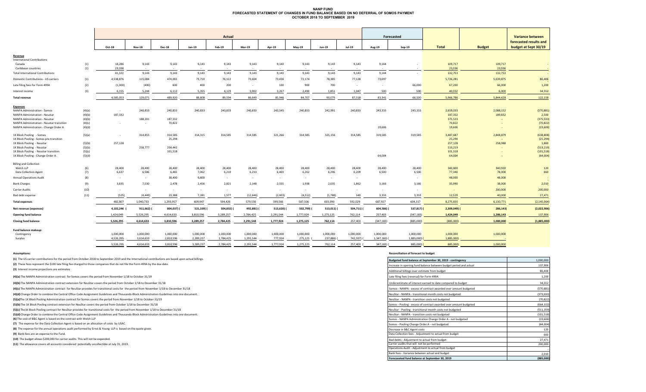#### **NANP FUND FORECASTED STATEMENT OF CHANGES IN FUND BALANCE BASED ON NO DEFERRAL OF SOMOS PAYMENTOCTOBER 2018 TO SEPTEMBER 2019**

|                                           |        |           |               |               |           | Actual     |            |           |           |           |            |                          | Forecasted |               |               | <b>Variance between</b> |
|-------------------------------------------|--------|-----------|---------------|---------------|-----------|------------|------------|-----------|-----------|-----------|------------|--------------------------|------------|---------------|---------------|-------------------------|
|                                           |        |           |               |               |           |            |            |           |           |           |            |                          |            |               |               | forecasted results and  |
|                                           |        | Oct-18    | <b>Nov-18</b> | <b>Dec-18</b> | Jan-19    | Feb-19     | Mar-19     | Apr-19    | May-19    | Jun-19    | $Jul-19$   | Aug-19                   | $Sep-19$   | <b>Total</b>  | <b>Budget</b> | budget at Sept 30/19    |
| Revenue                                   |        |           |               |               |           |            |            |           |           |           |            |                          |            |               |               |                         |
| <b>International Contributions</b>        |        |           |               |               |           |            |            |           |           |           |            |                          |            |               |               |                         |
| Canada                                    | (1)    | 18,286    | 9,143         | 9,143         | 9,143     | 9,143      | 9,143      | 9,143     | 9,143     | 9,143     | 9,143      | 9,144                    |            | 109,717       | 109,717       |                         |
| Caribbean countries                       | (1)    | 23.036    | $\sim$        | $\sim$        | $\sim$    |            |            |           | $\sim$    | $\sim$    |            |                          |            | 23,036        | 23,036        |                         |
| <b>Total International Contributions</b>  |        | 41,322    | 9,143         | 9,143         | 9,143     | 9,143      | 9,143      | 9,143     | 9,143     | 9,143     | 9,143      | 9,144                    | $\sim$     | 132,753       | 132,753       |                         |
| Domestic Contributions - US carriers      | (1)    | 4,538,876 | 115,084       | 474,065       | 73,710    | 76,122     | 73,604     | 73,436    | 72,174    | 78,385    | 77,128     | 73,697                   |            | 5,726,281     | 5,639,875     | 86,406                  |
| Late filing fees for Form 499A            | (2)    | (1,300)   | (400)         | 600           | 400       | 200        | $\sim$     | 100       | 900       | 700       |            | $\overline{\phantom{a}}$ | 66,000     | 67,200        | 66,000        | 1,200                   |
| Interest income                           | (3)    | 6,155     | 5,244         | 6,112         | 5,355     | 4,129      | 3,902      | 3,267     | 2,490     | 1,851     | 1,047      | 500                      | 500        | 40,552        | 6,000         | 34,552                  |
| <b>Total revenue</b>                      |        | 4,585,053 | 129,071       | 489,920       | 88,608    | 89,594     | 86,649     | 85,946    | 84,707    | 90,079    | 87,318     | 83,341                   | 66,500     | 5,966,786     | 5,844,628     | 122,158                 |
| <b>Expenses</b>                           |        |           |               |               |           |            |            |           |           |           |            |                          |            |               |               |                         |
| NANPA Administration - Somos              | (4)(a) | $\sim$    | 240,833       | 240,833       | 240,833   | 240,833    | 240,833    | 243,545   | 240,833   | 242,991   | 240,833    | 243,333                  | 243,333    | 2,659,033     | 2,088,152     | (570, 881)              |
| NANPA Administration - Neustar            | (4)(b) | 187,332   |               |               |           |            |            |           |           |           |            |                          |            | 187,332       | 189,832       | 2,500                   |
| NANPA Administration - Neustar            | (4)(b) |           | 188,201       | 187,332       |           |            |            |           |           |           |            |                          |            | 375,533       |               | (375, 533)              |
| NANPA Administration - Neustar transition | (4)(c) | $\sim$    | $\sim$        | 70,822        |           |            |            |           |           |           |            |                          |            | 70,822        |               | (70, 822)               |
| NANPA Administration - Change Order A     | (4)(d) |           |               |               |           |            |            |           |           |           |            | 19,606                   |            | 19,606        |               | (19,606)                |
| 1K Block Pooling - Somos                  | (5)(a) | $\sim$    | 314,855       | 314,585       | 314,315   | 314,585    | 314,585    | 321,266   | 314,585   | 325,156   | 314,585    | 319,585                  | 319,585    | 3,487,687     | 2,848,879     | (638, 808)              |
| 1K Block Pooling - Somos pre-transition   |        |           |               | 25,294        |           |            |            |           |           |           |            |                          |            | 25,294        |               | (25, 294)               |
| 1K Block Pooling - Neustar                | (5)(b) | 257,128   |               |               |           |            |            |           |           |           |            |                          |            | 257,128       | 258,988       | 1,860                   |
| 1K Block Pooling - Neustar                | (5)(b) |           | 258,777       | 254,442       |           |            |            |           |           |           |            |                          |            | 513,219       |               | (513, 219)              |
| 1K Block Pooling - Neustar transition     | (5)(c) |           |               | 101,518       |           |            |            |           |           |           |            |                          |            | 101,518       |               | (101, 518)              |
| 1K Block Pooling - Change Order A         | (5)(d) |           |               |               |           |            |            |           |           |           |            | 64,004                   |            | 64,004        |               | (64,004)                |
| <b>Billing and Collection</b>             |        |           |               |               |           |            |            |           |           |           |            |                          |            |               |               |                         |
| Welch LLP                                 | (6)    | 28,400    | 28,400        | 28,400        | 28,400    | 28,400     | 28,400     | 28,400    | 28,400    | 28,400    | 28,400     | 28,400                   | 28,400     | 340,800       | 340,920       | 120                     |
| <b>Data Collection Agent</b>              | (7)    | 6,637     | 6,586         | 6,465         | 7,062     | 6,210      | 6,210      | 6,403     | 6,262     | 6,296     | 6,209      | 6,500                    | 6,500      | 77,340        | 78,000        | 660                     |
| <b>Annual Operations Audit</b>            | (8)    | $\sim$    | $\sim$        | 38,400        | 9,600     | $\sim$     | $\sim$     | $\sim$    | $\sim$    | $\sim$    | $\sim$     |                          | $\sim$     | 48,000        | 48,000        |                         |
| <b>Bank Charges</b>                       | (9)    | 3,835     | 7,530         | 2,478         | 2,456     | 2,821      | 2,148      | 2,555     | 1,938     | 2,035     | 1,862      | 3,166                    | 3,166      | 35,990        | 38,000        | 2,010                   |
| <b>Carrier Audits</b>                     | (10)   | $\sim$    | $\sim$        | $\sim$        | $\sim$    | $\sim$     | $\sim$     | $\sim$    | $\sim$    | $\sim$    | $\sim$     | $\overline{\phantom{a}}$ | $\sim$     | $\sim$        | 200,000       | 200,000                 |
| Bad debt expense                          | (11)   | (525)     | (4, 449)      | 23,388        | 7,281     | 1,577      | (12, 646)  | (2,603)   | (4,512)   | (1,788)   | 140        | 3,333                    | 3,333      | 12,529        | 40,000        | 27,471                  |
| <b>Total expenses</b>                     |        | 482,807   | 1,040,733     | 1,293,957     | 609,947   | 594,426    | 579,530    | 599,566   | 587,506   | 603,090   | 592,029    | 687,927                  | 604,317    | 8,275,835     | 6,130,771     | (2, 145, 064)           |
| Net revenue (expenses)                    |        | 4,102,246 | 911,662)      | 804,037) (    | 521,339)  | 504,832) ( | 492,881) ( | 513,620)  | 502,799)  | 513,011)  | 504,711) ( | 604,586)                 | 537,817)   | $2,309,049$ ( | 286,143)      | (2,022,906)             |
| Opening fund balance                      |        | 1,424,049 | 5,526,295     | 4,614,633     | 3,810,596 | 3,289,257  | 2,784,425  | 2,291,544 | 1,777,924 | 1,275,125 | 762,114    | 257,403                  | (347, 183) | 1,424,049     | 1,286,143     | 137,906                 |
| <b>Closing fund balance</b>               |        | 5,526,295 | 4,614,633     | 3,810,596     | 3,289,257 | 2,784,425  | 2,291,544  | 1,777,924 | 1,275,125 | 762,114   | 257,403    | (347, 183)               | (885,000)  | (885,000)     | 1,000,000     | (1,885,000)             |
| Fund balance makeup:                      |        |           |               |               |           |            |            |           |           |           |            |                          |            |               |               |                         |
| Contingency                               |        | 1,000,000 | 1,000,000     | 1,000,000     | 1,000,000 | 1,000,000  | 1,000,000  | 1,000,000 | 1,000,000 | 1,000,000 | 1,000,000  | 1,000,000                | 1,000,000  | 1,000,000     | 1,000,000     |                         |
| Surplus                                   |        | 4,526,295 | 3,614,633     | 2,810,596     | 2,289,257 | 1,784,425  | 1,291,544  | 777,924   | 275,125   | 237,886)  | 742,597)   | 1,347,183)               | 1,885,000) | 1,885,000)    |               |                         |
|                                           |        | 5,526,295 | 4,614,633     | 3.810.596     | 3,289,257 | 2,784,425  | 2,291,544  | 1,777,924 | 1,275,125 | 762,114   | 257,403 (  | 347,183)                 | 885,000)   | 885,000)      | 1,000,000     |                         |

(2) These fees represent the \$100 late filing fee charged to those companies that do not file the Form 499A by the due date. **(1)** The US carrier contributions for the period from October 2018 to September 2019 and the International contributions are based upon actual billings.

#### **Assumptions: Reconciliation of forecast to budget**

| (1) The US carrier contributions for the period from October 2018 to September 2019 and the International contributions are based upon actual billings. | Budgeted fund balance at September 30, 2019 - contingency         | 1,000,000  |
|---------------------------------------------------------------------------------------------------------------------------------------------------------|-------------------------------------------------------------------|------------|
| (2) These fees represent the \$100 late filing fee charged to those companies that do not file the Form 499A by the due date.                           | Increase in opening fund balance between budget period and actual | 137,906    |
| (3) Interest income projections are estimates                                                                                                           | Additional billings over estimate from budget                     | 86,406     |
| (4)(a) The NANPA Administration contract for Somos covers the period from November 1/18 to October 31/19                                                | Late filing fees (reversal) for Form 499A                         | 1,200      |
| (4)(b) The NANPA Administration contract extension for NeuStar covers the period from October 1/18 to December 31/18                                    | Underestimate of interest earned to date compared to budget       | 34,552     |
| (4)(c) The NANPA Administration contract for NeuStar provides for transitional costs for the period from November 1/18 to December 31/18                | Somos - NANPA - excess of contract awarded over amount budgeted   | (570,881   |
| (4)(d) Change Order to combine the Central Office Code Assignment Guidelines and Thousands-Block Administration Guidelines into one document.           | NeuStar - NANPA - transitional month costs not budgeted           | (373,033)  |
| (5)(a)The 1K Block Pooling Administration contract for Somos covers the period from November 1/18 to October 31/19                                      | NeuStar - NANPA - transition costs not budgeted                   | (70, 822)  |
| (5)(b) The 1K Block Pooling contract extension for NeuStar covers the period from October 1/18 to December 31/18                                        | Somos - Pooling - excess of contract awarded over amount budgeted | (664, 102) |
| (5)(c) The 1K Block Pooling contract for NeuStar provides for transitional costs for the period from November 1/18 to December 31/18                    | NeuStar - Pooling - transitional month costs not budgeted         | (511, 359) |
| (5)(d) Change Order to combine the Central Office Code Assignment Guidelines and Thousands-Block Administration Guidelines into one document.           | NeuStar - NANPA - transition costs not budgeted                   | (101, 518) |
| (6) The cost of B&C Agent is based on the contract with Welch LLP                                                                                       | Somos - NANPA Administration Change Order A - not budgeted        | (19, 606)  |
| (7) The expense for the Data Collection Agent is based on an allocation of costs by USAC.                                                               | Somos - Pooling Change Order A - not budgeted                     | (64,004)   |
| (8) The expense for the annual operations audit performed by Ernst & Young LLP is based on the quote given.                                             | Decrease in B&C Agent costs                                       | 120        |
| (9) Bank fees are an expense to the Fund.                                                                                                               | Data Collection fees - Adjustment to actual from budget           | 660        |
| (10) The budget allows \$200,000 for carrier audits. This will not be expended.                                                                         | Bad debts - Adjustment to actual from budget                      | 27,471     |
| (11) The allowance covers all accounts considered potentially uncollectible at July 31, 2019.                                                           | Carrier audits that will not be performed                         | 200,000    |
|                                                                                                                                                         | Operations Audit - Adjustment to actual from budget               |            |
|                                                                                                                                                         | Bank fees - Variance between actual and budget                    | 2,010      |
|                                                                                                                                                         | Forecaseted fund balance at September 30, 2019                    | (885,000)  |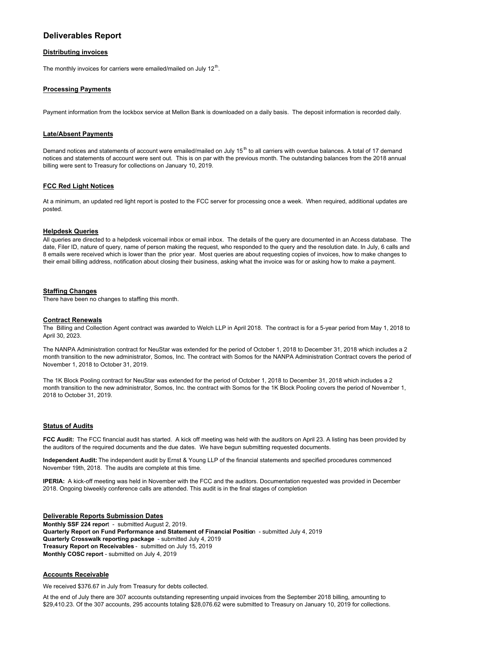# **Deliverables Report**

#### **Distributing invoices**

The monthly invoices for carriers were emailed/mailed on July  $12<sup>th</sup>$ .

#### **Processing Payments**

Payment information from the lockbox service at Mellon Bank is downloaded on a daily basis. The deposit information is recorded daily.

#### **Late/Absent Payments**

Demand notices and statements of account were emailed/mailed on July 15<sup>th</sup> to all carriers with overdue balances. A total of 17 demand notices and statements of account were sent out. This is on par with the previous month. The outstanding balances from the 2018 annual billing were sent to Treasury for collections on January 10, 2019.

#### **FCC Red Light Notices**

At a minimum, an updated red light report is posted to the FCC server for processing once a week. When required, additional updates are posted.

#### **Helpdesk Queries**

All queries are directed to a helpdesk voicemail inbox or email inbox. The details of the query are documented in an Access database. The date, Filer ID, nature of query, name of person making the request, who responded to the query and the resolution date. In July, 6 calls and 8 emails were received which is lower than the prior year. Most queries are about requesting copies of invoices, how to make changes to their email billing address, notification about closing their business, asking what the invoice was for or asking how to make a payment.

#### **Staffing Changes**

There have been no changes to staffing this month.

#### **Contract Renewals**

The Billing and Collection Agent contract was awarded to Welch LLP in April 2018. The contract is for a 5-year period from May 1, 2018 to April 30, 2023.

The NANPA Administration contract for NeuStar was extended for the period of October 1, 2018 to December 31, 2018 which includes a 2 month transition to the new administrator, Somos, Inc. The contract with Somos for the NANPA Administration Contract covers the period of November 1, 2018 to October 31, 2019.

The 1K Block Pooling contract for NeuStar was extended for the period of October 1, 2018 to December 31, 2018 which includes a 2 month transition to the new administrator, Somos, Inc. the contract with Somos for the 1K Block Pooling covers the period of November 1, 2018 to October 31, 2019.

#### **Status of Audits**

**FCC Audit:** The FCC financial audit has started. A kick off meeting was held with the auditors on April 23. A listing has been provided by the auditors of the required documents and the due dates. We have begun submitting requested documents.

**Independent Audit:** The independent audit by Ernst & Young LLP of the financial statements and specified procedures commenced November 19th, 2018. The audits are complete at this time.

**IPERIA:** A kick-off meeting was held in November with the FCC and the auditors. Documentation requested was provided in December 2018. Ongoing biweekly conference calls are attended. This audit is in the final stages of completion

**Deliverable Reports Submission Dates Monthly SSF 224 repor**t - submitted August 2, 2019. **Quarterly Report on Fund Performance and Statement of Financial Positio**n - submitted July 4, 2019 **Quarterly Crosswalk reporting package** - submitted July 4, 2019 **Treasury Report on Receivables** - submitted on July 15, 2019 **Monthly COSC report** - submitted on July 4, 2019

#### **Accounts Receivable**

We received \$376.67 in July from Treasury for debts collected.

At the end of July there are 307 accounts outstanding representing unpaid invoices from the September 2018 billing, amounting to \$29,410.23. Of the 307 accounts, 295 accounts totaling \$28,076.62 were submitted to Treasury on January 10, 2019 for collections.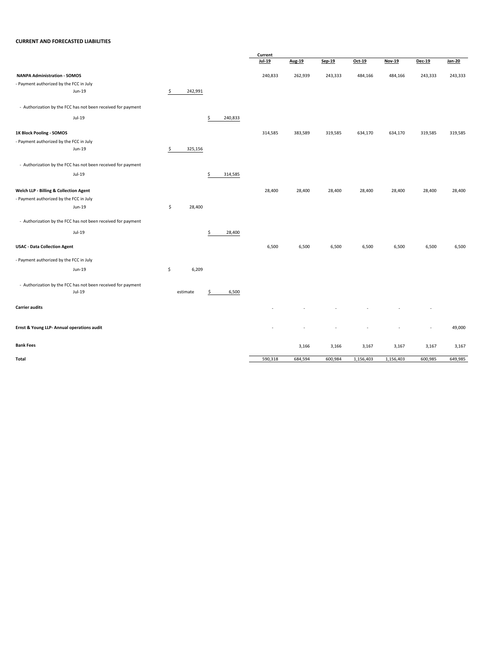### **CURRENT AND FORECASTED LIABILITIES**

|                                                              |               |               | Current  |         |         |           |               |               |         |
|--------------------------------------------------------------|---------------|---------------|----------|---------|---------|-----------|---------------|---------------|---------|
|                                                              |               |               | $Jul-19$ | Aug-19  | Sep-19  | Oct-19    | <b>Nov-19</b> | <b>Dec-19</b> | Jan-20  |
| <b>NANPA Administration - SOMOS</b>                          |               |               | 240,833  | 262,939 | 243,333 | 484,166   | 484,166       | 243,333       | 243,333 |
| - Payment authorized by the FCC in July                      |               |               |          |         |         |           |               |               |         |
| Jun-19                                                       | \$<br>242,991 |               |          |         |         |           |               |               |         |
| - Authorization by the FCC has not been received for payment |               |               |          |         |         |           |               |               |         |
| Jul-19                                                       |               |               |          |         |         |           |               |               |         |
|                                                              |               | \$<br>240,833 |          |         |         |           |               |               |         |
| 1K Block Pooling - SOMOS                                     |               |               | 314,585  | 383,589 | 319,585 | 634,170   | 634,170       | 319,585       | 319,585 |
| - Payment authorized by the FCC in July                      |               |               |          |         |         |           |               |               |         |
| Jun-19                                                       | \$<br>325,156 |               |          |         |         |           |               |               |         |
| - Authorization by the FCC has not been received for payment |               |               |          |         |         |           |               |               |         |
| Jul-19                                                       |               | \$<br>314,585 |          |         |         |           |               |               |         |
| Welch LLP - Billing & Collection Agent                       |               |               | 28,400   | 28,400  | 28,400  | 28,400    | 28,400        | 28,400        | 28,400  |
| - Payment authorized by the FCC in July                      |               |               |          |         |         |           |               |               |         |
| Jun-19                                                       | \$<br>28,400  |               |          |         |         |           |               |               |         |
|                                                              |               |               |          |         |         |           |               |               |         |
| - Authorization by the FCC has not been received for payment |               |               |          |         |         |           |               |               |         |
| Jul-19                                                       |               | \$<br>28,400  |          |         |         |           |               |               |         |
| <b>USAC - Data Collection Agent</b>                          |               |               | 6,500    | 6,500   | 6,500   | 6,500     | 6,500         | 6,500         | 6,500   |
| - Payment authorized by the FCC in July                      |               |               |          |         |         |           |               |               |         |
| Jun-19                                                       | \$<br>6,209   |               |          |         |         |           |               |               |         |
| - Authorization by the FCC has not been received for payment |               |               |          |         |         |           |               |               |         |
| Jul-19                                                       | estimate      | \$<br>6,500   |          |         |         |           |               |               |         |
| <b>Carrier audits</b>                                        |               |               |          |         |         |           |               |               |         |
|                                                              |               |               |          |         |         |           |               |               |         |
| Ernst & Young LLP- Annual operations audit                   |               |               |          |         |         |           |               | ٠             | 49,000  |
| <b>Bank Fees</b>                                             |               |               |          | 3,166   | 3,166   | 3,167     | 3,167         | 3,167         | 3,167   |
|                                                              |               |               |          |         |         |           |               |               |         |
| Total                                                        |               |               | 590,318  | 684,594 | 600,984 | 1,156,403 | 1,156,403     | 600,985       | 649,985 |